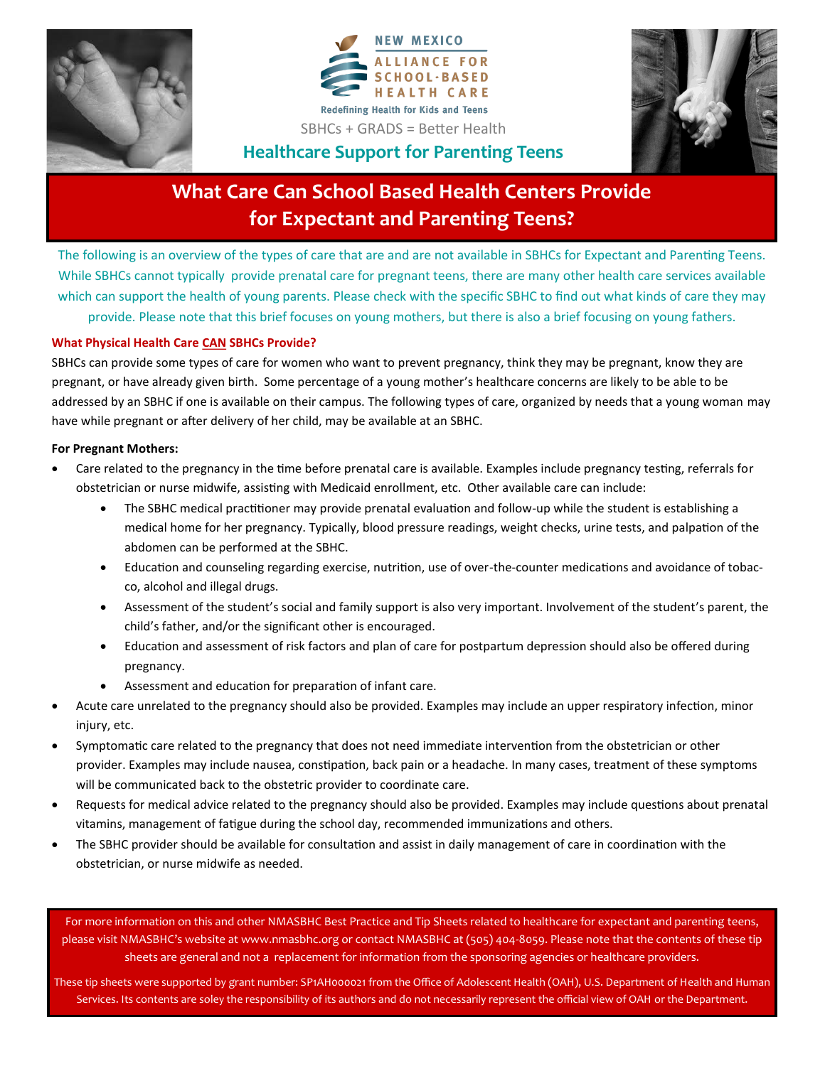



SBHCs + GRADS = Better Health



### **Healthcare Support for Parenting Teens**

# **What Care Can School Based Health Centers Provide for Expectant and Parenting Teens?**

The following is an overview of the types of care that are and are not available in SBHCs for Expectant and Parenting Teens. While SBHCs cannot typically provide prenatal care for pregnant teens, there are many other health care services available which can support the health of young parents. Please check with the specific SBHC to find out what kinds of care they may provide. Please note that this brief focuses on young mothers, but there is also a brief focusing on young fathers.

#### **What Physical Health Care CAN SBHCs Provide?**

SBHCs can provide some types of care for women who want to prevent pregnancy, think they may be pregnant, know they are pregnant, or have already given birth. Some percentage of a young mother's healthcare concerns are likely to be able to be addressed by an SBHC if one is available on their campus. The following types of care, organized by needs that a young woman may have while pregnant or after delivery of her child, may be available at an SBHC.

#### **For Pregnant Mothers:**

- Care related to the pregnancy in the time before prenatal care is available. Examples include pregnancy testing, referrals for obstetrician or nurse midwife, assisting with Medicaid enrollment, etc. Other available care can include:
	- The SBHC medical practitioner may provide prenatal evaluation and follow-up while the student is establishing a medical home for her pregnancy. Typically, blood pressure readings, weight checks, urine tests, and palpation of the abdomen can be performed at the SBHC.
	- Education and counseling regarding exercise, nutrition, use of over-the-counter medications and avoidance of tobacco, alcohol and illegal drugs.
	- Assessment of the student's social and family support is also very important. Involvement of the student's parent, the child's father, and/or the significant other is encouraged.
	- Education and assessment of risk factors and plan of care for postpartum depression should also be offered during pregnancy.
	- Assessment and education for preparation of infant care.
- Acute care unrelated to the pregnancy should also be provided. Examples may include an upper respiratory infection, minor injury, etc.
- Symptomatic care related to the pregnancy that does not need immediate intervention from the obstetrician or other provider. Examples may include nausea, constipation, back pain or a headache. In many cases, treatment of these symptoms will be communicated back to the obstetric provider to coordinate care.
- Requests for medical advice related to the pregnancy should also be provided. Examples may include questions about prenatal vitamins, management of fatigue during the school day, recommended immunizations and others.
- The SBHC provider should be available for consultation and assist in daily management of care in coordination with the obstetrician, or nurse midwife as needed.

For more information on this and other NMASBHC Best Practice and Tip Sheets related to healthcare for expectant and parenting teens, please visit NMASBHC's website at www.nmasbhc.org or contact NMASBHC at (505) 404-8059. Please note that the contents of these tip sheets are general and not a replacement for information from the sponsoring agencies or healthcare providers.

These tip sheets were supported by grant number: SP1AH000021 from the Office of Adolescent Health (OAH), U.S. Department of Health and Human Services. Its contents are soley the responsibility of its authors and do not necessarily represent the official view of OAH or the Department.